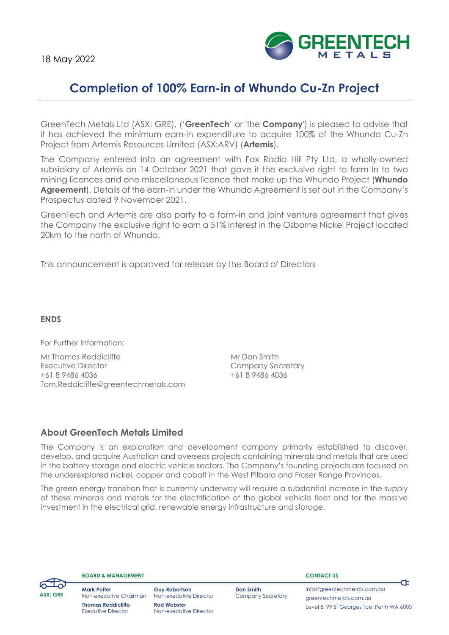

# **Completion of 100% Earn-in of Whundo Cu-Zn Project**

GreenTech Metals Ltd (ASX: GRE), ('**GreenTech**' or 'the **Company**') is pleased to advise that it has achieved the minimum earn-in expenditure to acquire 100% of the Whundo Cu-Zn Project from Artemis Resources Limited (ASX:ARV) (**Artemis**).

The Company entered into an agreement with Fox Radio Hill Pty Ltd, a wholly-owned subsidiary of Artemis on 14 October 2021 that gave it the exclusive right to farm in to two mining licences and one miscellaneous licence that make up the Whundo Project (**Whundo Agreement**). Details of the earn-in under the Whundo Agreement is set out in the Company's Prospectus dated 9 November 2021.

GreenTech and Artemis are also party to a farm-in and joint venture agreement that gives the Company the exclusive right to earn a 51% interest in the Osborne Nickel Project located 20km to the north of Whundo.

This announcement is approved for release by the Board of Directors

# **ENDS**

For Further Information:

Mr Thomas Reddicliffe Mr Dan Smith Executive Director **Company Secretary** +61 8 9486 4036 +61 8 9486 4036 Tom.Reddicliffe@greentechmetals.com

# **About GreenTech Metals Limited**

The Company is an exploration and development company primarily established to discover, develop, and acquire Australian and overseas projects containing minerals and metals that are used in the battery storage and electric vehicle sectors. The Company's founding projects are focused on the underexplored nickel, copper and cobalt in the West Pilbara and Fraser Range Provinces.

The green energy transition that is currently underway will require a substantial increase in the supply of these minerals and metals for the electrification of the global vehicle fleet and for the massive investment in the electrical grid, renewable energy infrastructure and storage.



**BOARD & MANAGEMENT**

**Mark Potter** Non-executive Chairman **Thomas Reddicliffe** Executive Director

**Guy Robertson Dan Smith** Non-executive Director Company Secretary **Rod Webster** Non-executive Director

**CONTACT US**

[info@greentechmetals.com.au](mailto:info@greentechmetals.com.au) greentechmetals.com.au Level 8, 99 St Georges Tce, Perth WA 6000

¢